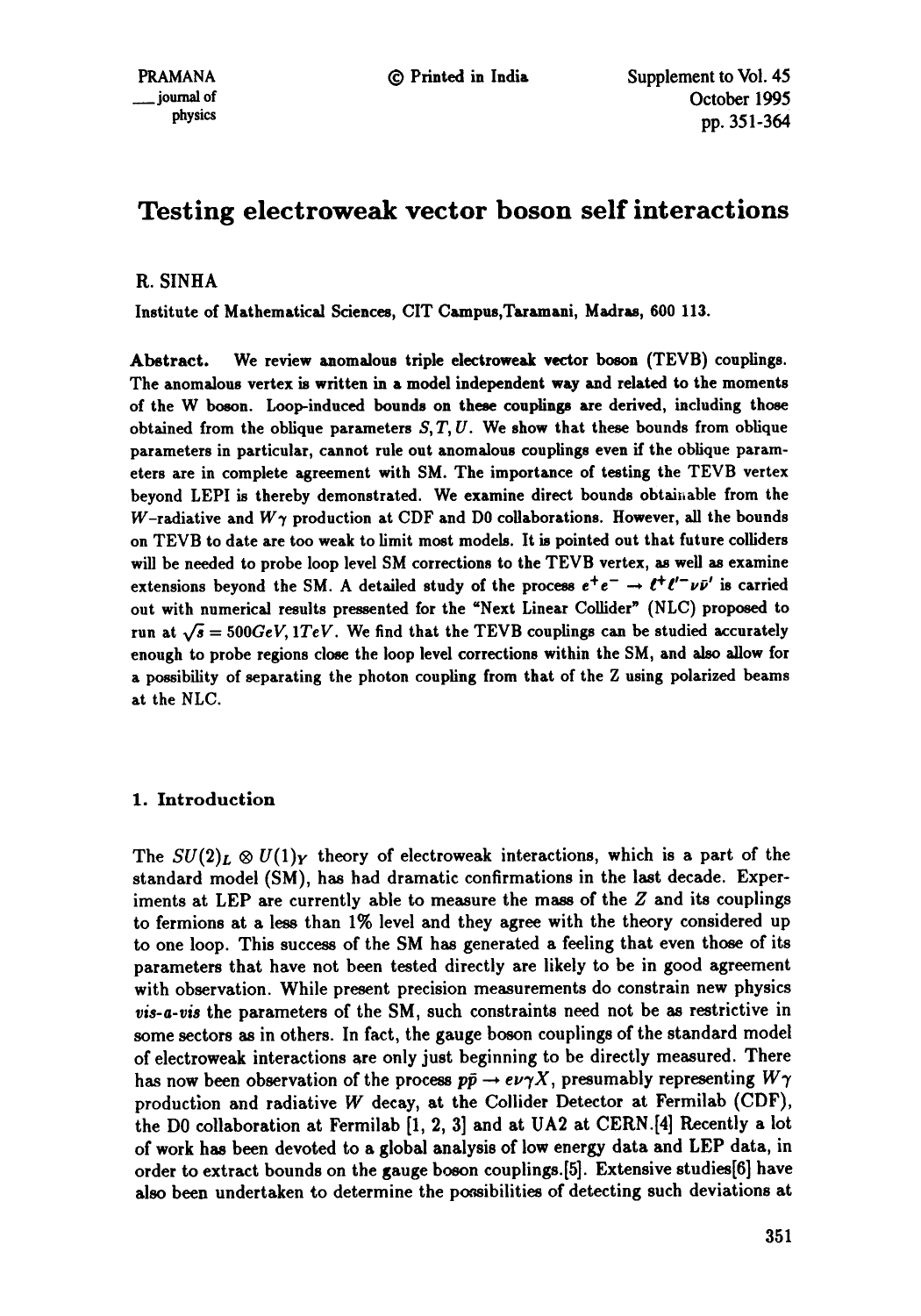# **Testing electroweak vector boson self interactions**

# R. SINHA

Institute of Mathematical Sciences, CIT Campus,Taramani, Madras, 600 113.

Abstract. We review aaomalous triple electroweak vector boson (TEVB) couplings. The anomalous vertex is written in a model independent way and related to the moments of the W boson. Loop-induced bounds on these couplings are derived, including those obtained from the oblique parameters  $S, T, U$ . We show that these bounds from oblique parameters in particular, cannot rule out anomalous couplings even if the oblique parameters are in complete agreement with SM. The importance of testing the TEVB vertex beyond LEPI is thereby demonstrated. We examine direct bounds obtainable from the W-radiative and  $W\gamma$  production at CDF and D0 collaborations. However, all the bounds on TEVB to date are too weak to limit most models. It is pointed out that future colliders will be needed to probe loop level SM corrections to the TEVB vertex, as well as examine extensions beyond the SM. A detailed study of the process  $e^+e^- \rightarrow \ell^+ \ell'^- \nu \bar{\nu}'$  is carried out with numerical results pressented for the "Next Linear Collider" (NLC) proposed to run at  $\sqrt{s} = 500 \text{GeV}$ , *1TeV.* We find that the TEVB couplings can be studied accurately enough to probe regions close the loop level corrections within the SM, and also allow for a possibility of separating the photon coupling from that of the Z using polarized beams at the NLC.

# 1. Introduction

The  $SU(2)_L \otimes U(1)_Y$  theory of electroweak interactions, which is a part of the standard model (SM), has had dramatic confirmations in the last decade. Experiments at LEP are currently able to measure the mass of the Z and its couplings to fermions at a less than 1% level and they agree with the theory considered up to one loop. This success of the SM has generated a feeling that even those of its parameters that have not been tested directly are likely to be in good agreement with observation. While present precision measurements do constrain new physics *vis-a-vis* the parameters of the SM, such constraints need not be as restrictive in some sectors as in others. In fact, the gauge boson couplings of the standard model of electroweak interactions are only just beginning to be directly measured. There has now been observation of the process  $p\bar{p} \rightarrow e\nu\gamma X$ , presumably representing  $W\gamma$ production and radiative W decay, at the Collider Detector at Fermilab (CDF), the DO collaboration at Fermilab [1, 2, 3] and at UA2 at CERN.[4] Recently a lot of work has been devoted to a global analysis of low energy data and LEP data, in order to extract bounds on the gauge boson couplings.[5]. Extensive studies[6] have also been undertaken to determine the possibilities of detecting such deviations at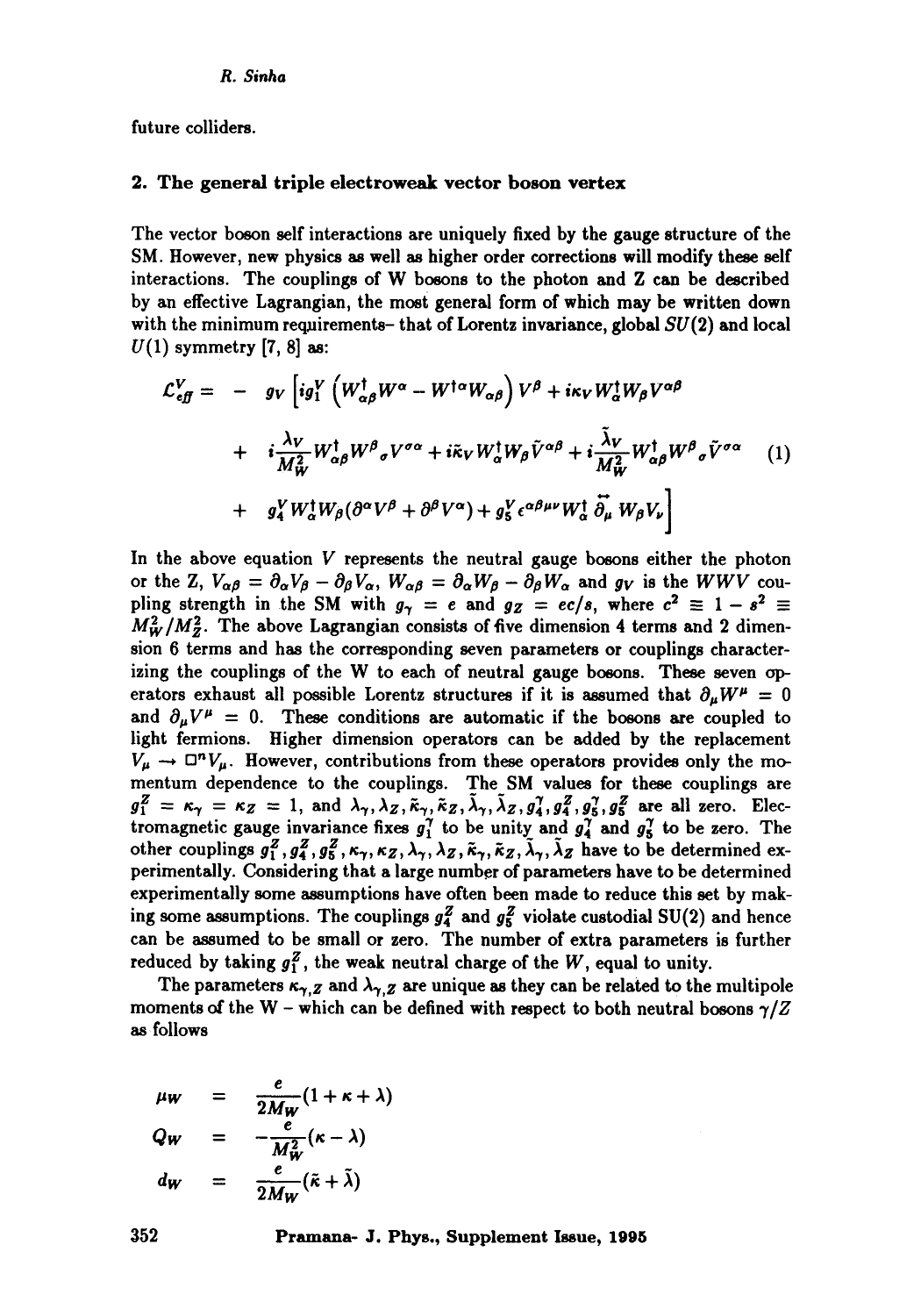future colliders.

#### 2. The general triple electroweak vector boson vertex

The vector boson self interactions are uniquely fixed by the gauge structure of the SM. However, new physics as well as higher order corrections will modify these self interactions. The couplings of W bosons to the photon and Z can he described by an effective Lagrangian, the most general form of which may be written down with the minimum requirements- that of Lorentz invariance, global  $SU(2)$  and local  $U(1)$  symmetry [7, 8] as:

$$
\mathcal{L}_{\epsilon f}^{V} = - g_{V} \left[ i g_{1}^{V} \left( W_{\alpha \beta}^{\dagger} W^{\alpha} - W^{\dagger \alpha} W_{\alpha \beta} \right) V^{\beta} + i \kappa_{V} W_{\alpha}^{\dagger} W_{\beta} V^{\alpha \beta} \right. \right.\left. + i \frac{\lambda_{V}}{M_{W}^{2}} W_{\alpha \beta}^{\dagger} W^{\beta}{}_{\sigma} V^{\sigma \alpha} + i \tilde{\kappa}_{V} W_{\alpha}^{\dagger} W_{\beta} \tilde{V}^{\alpha \beta} + i \frac{\tilde{\lambda}_{V}}{M_{W}^{2}} W_{\alpha \beta}^{\dagger} W^{\beta}{}_{\sigma} \tilde{V}^{\sigma \alpha} \right. \left( 1 \right)\left. + g_{4}^{V} W_{\alpha}^{\dagger} W_{\beta} (\partial^{\alpha} V^{\beta} + \partial^{\beta} V^{\alpha}) + g_{5}^{V} \epsilon^{\alpha \beta \mu \nu} W_{\alpha}^{\dagger} \tilde{\partial}_{\mu} W_{\beta} V_{\nu} \right]
$$

In the above equation  $V$  represents the neutral gauge bosons either the photon or the Z,  $V_{\alpha\beta} = \partial_{\alpha}V_{\beta} - \partial_{\beta}V_{\alpha}$ ,  $W_{\alpha\beta} = \partial_{\alpha}W_{\beta} - \partial_{\beta}W_{\alpha}$  and  $g_V$  is the *WWV* coupling strength in the SM with  $g_{\gamma} = e$  and  $g_Z = ec/s$ , where  $c^2 \equiv 1 - s^2 \equiv$  $M_W^2/M_Z^2$ . The above Lagrangian consists of five dimension 4 terms and 2 dimension 6 terms and has the corresponding seven parameters or couplings characterizing the couplings of the W to each of neutral gauge bosons. These seven operators exhaust all possible Lorentz structures if it is assumed that  $\partial_{\mu}W^{\mu} = 0$ and  $\partial_\mu V^\mu = 0$ . These conditions are automatic if the bosons are coupled to light fermions. Higher dimension operators can be added by the replacement  $V_{\mu} \rightarrow \Box^{n} V_{\mu}$ . However, contributions from these operators provides only the momentum dependence to the couplings. The SM values for these couplings are  $g_1^Z = \kappa_\gamma = \kappa_Z = 1$ , and  $\lambda_\gamma, \lambda_Z, \tilde{\kappa}_\gamma, \tilde{\kappa}_Z, \lambda_\gamma, \lambda_Z, g_4^\gamma, g_4^Z, g_5^\gamma, g_5^Z$  are all zero. Electromagnetic gauge invariance fixes  $g_1^T$  to be unity and  $g_4^T$  and  $g_5^T$  to be zero. The other couplings  $g_1^Z, g_4^Z, g_5^Z, \kappa_\gamma, \kappa_Z, \lambda_\gamma, \lambda_Z, \tilde{\kappa}_\gamma, \tilde{\kappa}_Z, \tilde{\lambda}_\gamma, \tilde{\lambda}_Z$  have to be determined experimentally. Considering that a large number of parameters have to be determined experimentally some assumptions have often been made to reduce this set by making some assumptions. The couplings  $g_4^Z$  and  $g_5^Z$  violate custodial SU(2) and hence can be assumed to be small or zero. The number of extra parameters is further reduced by taking  $g_1^Z$ , the weak neutral charge of the W, equal to unity.

The parameters  $\kappa_{\gamma,Z}$  and  $\lambda_{\gamma,Z}$  are unique as they can be related to the multipole moments of the W - which can be defined with respect to both neutral bosons  $\gamma/Z$ as follows

$$
\mu_W = \frac{e}{2M_W}(1 + \kappa + \lambda)
$$
  
\n
$$
Q_W = -\frac{e}{M_W^2}(\kappa - \lambda)
$$
  
\n
$$
d_W = \frac{e}{2M_W}(\tilde{\kappa} + \tilde{\lambda})
$$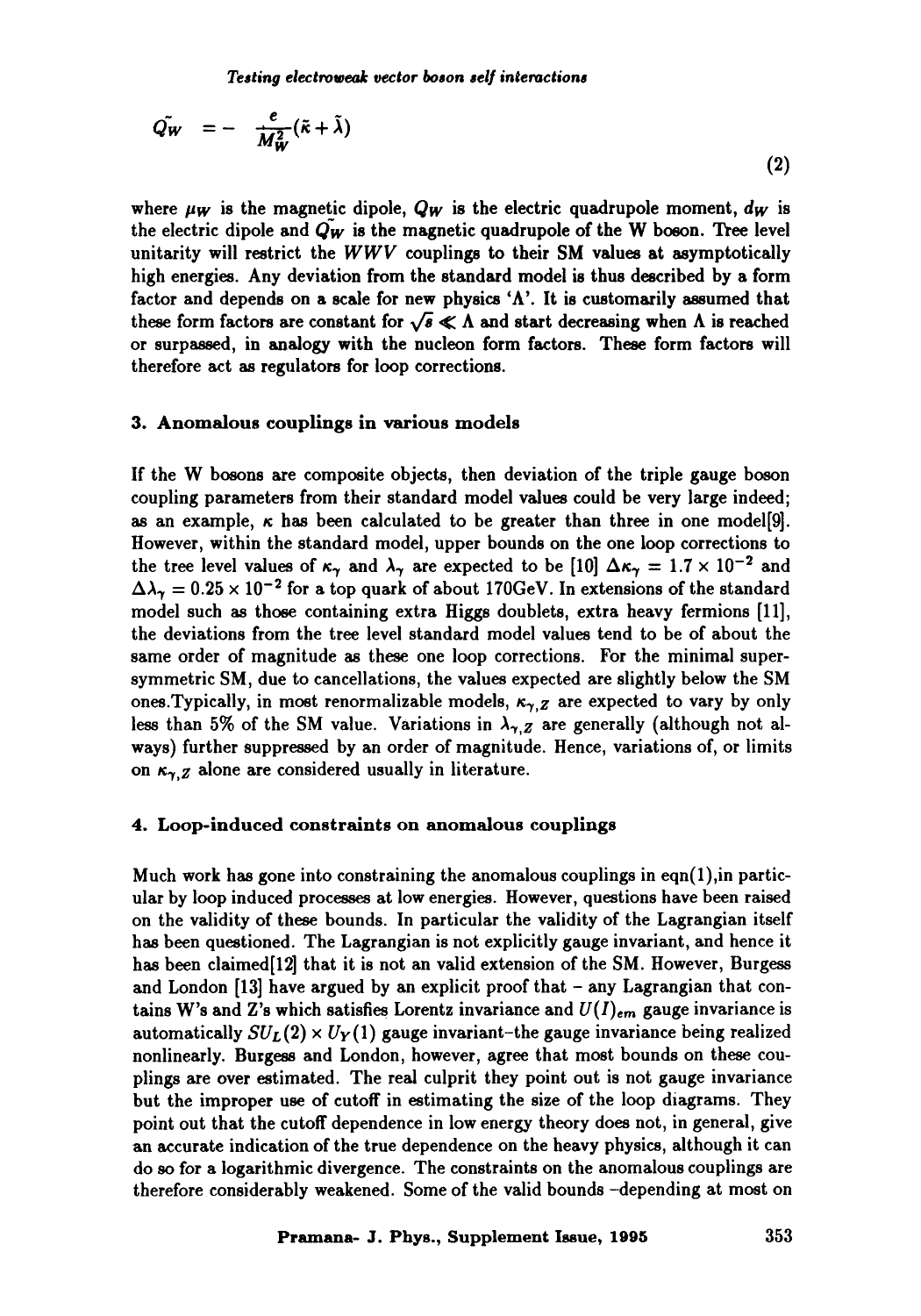*Testing electrowealr vector boson sel] interactions* 

$$
\tilde{Q_W} = - \frac{e}{M_W^2} (\tilde{\kappa} + \tilde{\lambda}) \tag{2}
$$

where  $\mu_W$  is the magnetic dipole,  $Q_W$  is the electric quadrupole moment,  $d_W$  is the electric dipole and  $Q_W$  is the magnetic quadrupole of the W boson. Tree level unitarity will restrict the *WWV* couplings to their SM values at asymptotically high energies. Any deviation from the standard model is thus described by a form factor and depends on a scale for new physics 'A'. It is customarily assumed that these form factors are constant for  $\sqrt{s} \ll \Lambda$  and start decreasing when  $\Lambda$  is reached or surpassed, in analogy with the nucleon form factors. These form factors will therefore act as regulators for loop corrections.

# **3. Anomalous couplings in various models**

If the W bosons are composite objects, then deviation of the triple gauge boson coupling parameters from their standard model values could be very large indeed; as an example,  $\kappa$  has been calculated to be greater than three in one model[9]. However, within the standard model, upper bounds on the one loop corrections to the tree level values of  $\kappa_{\gamma}$  and  $\lambda_{\gamma}$  are expected to be [10]  $\Delta \kappa_{\gamma} = 1.7 \times 10^{-2}$  and  $\Delta\lambda_{\gamma} = 0.25 \times 10^{-2}$  for a top quark of about 170GeV. In extensions of the standard model such as those containing extra Higgs doublets, extra heavy fermions [11], the deviations from the tree level standard model values tend to be of about the same order of magnitude as these one loop corrections. For the minimal supersymmetric SM, due to cancellations, the values expected are slightly below the SM ones. Typically, in most renormalizable models,  $\kappa_{\gamma,Z}$  are expected to vary by only less than 5% of the SM value. Variations in  $\lambda_{\gamma,Z}$  are generally (although not always) further suppressed by an order of magnitude. Hence, variations of, or limits on  $\kappa_{\gamma,Z}$  alone are considered usually in literature.

#### 4. Loop-induced constraints on anomalous couplings

Much work has gone into constraining the anomalous couplings in eqn $(1)$ , in particular by loop induced processes at low energies. However, questions have been raised on the validity of these bounds. In particular the validity of the Lagrangian itself has been questioned. The Lagrangian is not explicitly gauge invariant, and hence it has been claimed[12] that it is not an valid extension of the SM. However, Burgess and London  $[13]$  have argued by an explicit proof that - any Lagrangian that contains W's and Z's which satisfies Lorentz invariance and  $U(I)_{em}$  gauge invariance is automatically  $SU_L(2) \times U_Y(1)$  gauge invariant-the gauge invariance being realized nonlinearly. Burgess and London, however, agree that most bounds on these couplings are over estimated. The real culprit they point out is not gauge invariance but the improper use of cutoff in estimating the size of the loop diagrams. They point out that the cutoff dependence in low energy theory does not, in general, give an accurate indication of the true dependence on the heavy physics, although it can do so for a logarithmic divergence. The constraints on the anomalous couplings are therefore considerably weakened. Some of the valid bounds -depending at most on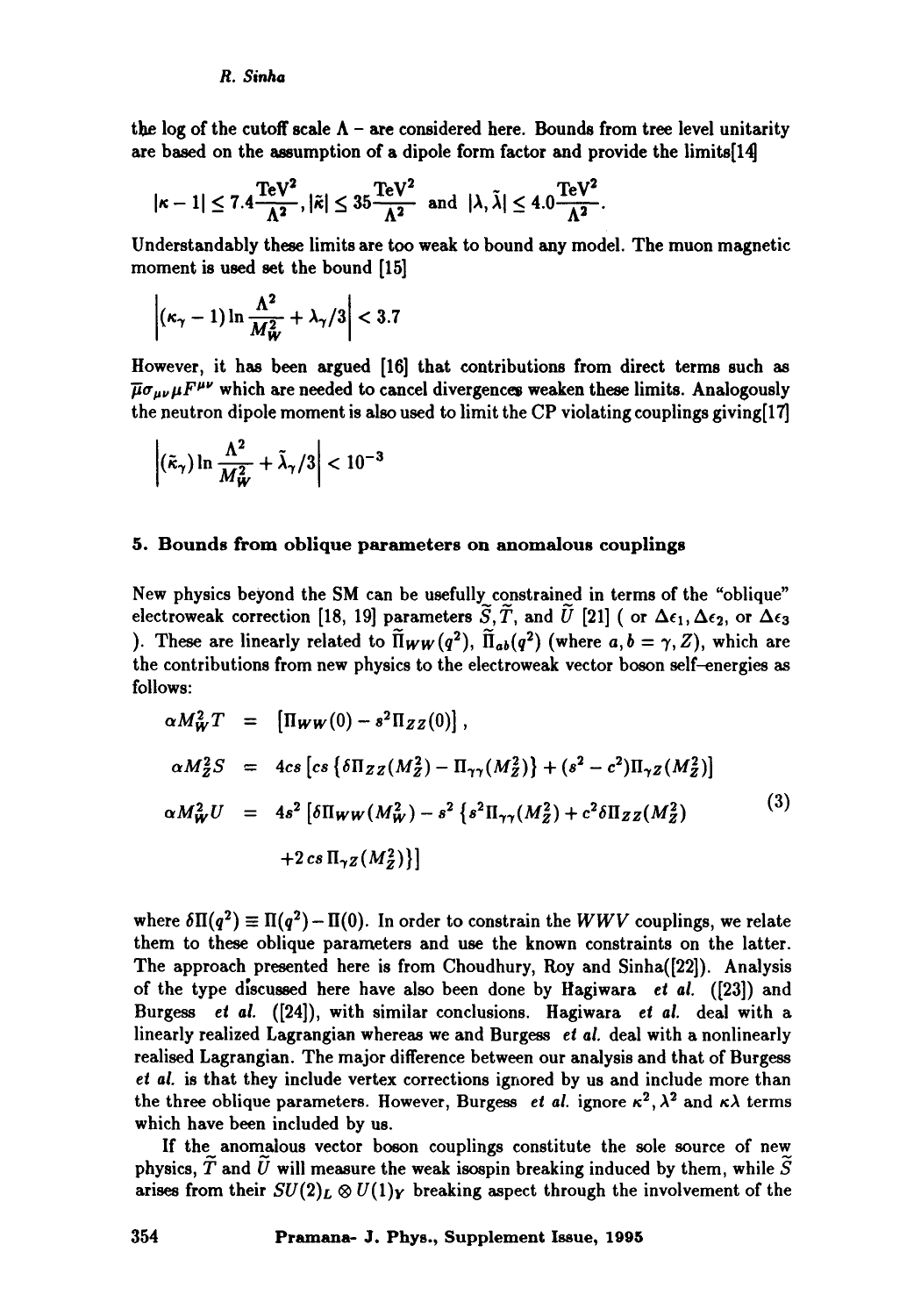the log of the cutoff scale  $\Lambda$  – are considered here. Bounds from tree level unitarity are based on the assumption of a dipole form factor and provide the limits[14]

$$
|\kappa-1|\leq 7.4\frac{\text{TeV}^2}{\Lambda^2},|\tilde\kappa|\leq 35\frac{\text{TeV}^2}{\Lambda^2}\text{ and }|\lambda,\tilde\lambda|\leq 4.0\frac{\text{TeV}^2}{\Lambda^2}.
$$

Understandably these limits are too weak to bound any model. The muon magnetic moment is used set the bound [15]

$$
\left|(\kappa_{\gamma}-1)\ln\frac{\Lambda^2}{M_W^2}+\lambda_{\gamma}/3\right|<3.7
$$

However, it has been argued [16] that contributions from direct terms such as  $\overline{\mu}\sigma_{\mu\nu}\mu F^{\mu\nu}$  which are needed to cancel divergences weaken these limits. Analogously the neutron dipole moment is also used to limit the CP violating couplings giving[17]

$$
\left| \left( \tilde{\kappa}_{\gamma} \right) \ln \frac{\Lambda^2}{M_W^2} + \tilde{\lambda}_{\gamma} / 3 \right| < 10^{-3}
$$

#### **5. Bounds from oblique parameters on anomalous couplings**

New physics beyond the SM can be usefully constrained in terms of the "oblique" electroweak correction [18, 19] parameters  $\tilde{S}$ ,  $\tilde{T}$ , and  $\tilde{U}$  [21] ( or  $\Delta \epsilon_1$ ,  $\Delta \epsilon_2$ , or  $\Delta \epsilon_3$ ). These are linearly related to  $\widetilde{\Pi}_{WW}(q^2)$ ,  $\widetilde{\Pi}_{ab}(q^2)$  (where  $a, b = \gamma, Z$ ), which are the contributions from new physics to the electroweak vector boson self-energies as follows:

$$
\alpha M_W^2 T = [\Pi_W w(0) - s^2 \Pi_{ZZ}(0)],
$$
  
\n
$$
\alpha M_Z^2 S = 4cs \left[ cs \left\{ \delta \Pi_{ZZ}(M_Z^2) - \Pi_{\gamma \gamma}(M_Z^2) \right\} + (s^2 - c^2) \Pi_{\gamma Z}(M_Z^2) \right]
$$
  
\n
$$
\alpha M_W^2 U = 4s^2 \left[ \delta \Pi_W w (M_W^2) - s^2 \left\{ s^2 \Pi_{\gamma \gamma}(M_Z^2) + c^2 \delta \Pi_{ZZ}(M_Z^2) \right\} + 2cs \Pi_{\gamma Z}(M_Z^2) \right\}
$$
\n(3)  
\n(3)  
\n(3)

where  $\delta\Pi(q^2) \equiv \Pi(q^2) - \Pi(0)$ . In order to constrain the *WWV* couplings, we relate them to these oblique parameters and use the known constraints on the latter. The approach presented here is from Choudhury, Roy and Sinha([22]). Analysis of the type discussed here have also been done by Hagiwara et al. ([23]) and Burgess *et al.* ([24]), with similar conclusions. Hagiwara *et al.* deal with a linearly realized Lagrangian whereas we and Burgess et al. deal with a nonlinearly realised Lagrangian. The major difference between our analysis and that of Burgess *et al.* is that they include vertex corrections ignored by us and include more than the three oblique parameters. However, Burgess *et al.* ignore  $\kappa^2$ ,  $\lambda^2$  and  $\kappa\lambda$  terms which have been included by us.

If the anomalous vector boson couplings constitute the sole source of new physics,  $\widetilde{T}$  and  $\widetilde{U}$  will measure the weak isospin breaking induced by them, while  $\widetilde{S}$ arises from their  $SU(2)_L \otimes U(1)_Y$  breaking aspect through the involvement of the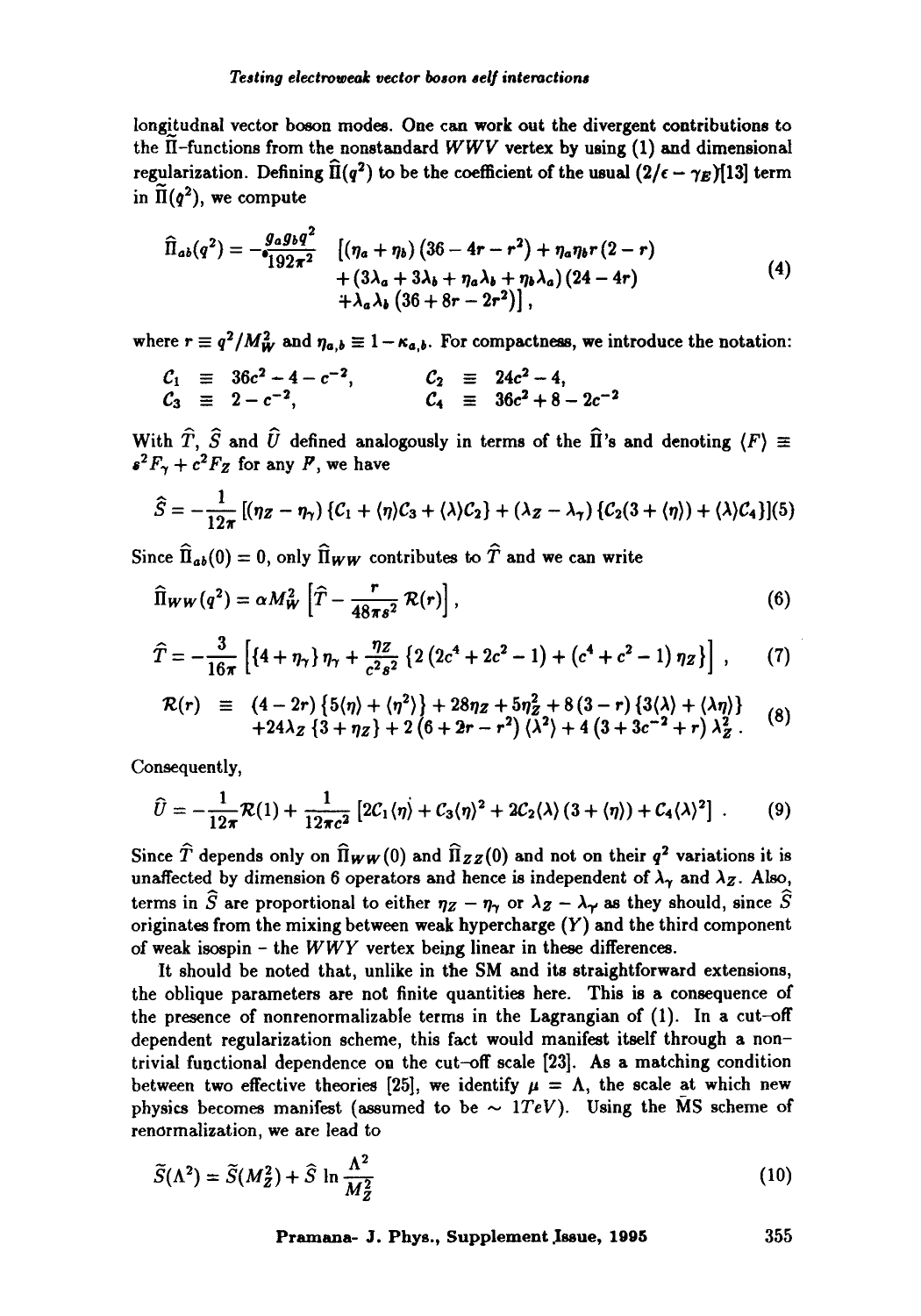longitudnal vector boson modes. One can work out the divergent contributions to the  $\tilde{\textbf{H}}$ -functions from the nonstandard *WWV* vertex by using (1) and dimensional regularization. Defining  $\widehat{H}(q^2)$  to be the coefficient of the usual  $(2/\epsilon - \gamma_E)[13]$  term in  $\tilde{\Pi}(q^2)$ , we compute

$$
\hat{\Pi}_{ab}(q^2) = -\frac{g_a g_b q^2}{192\pi^2} \quad \left[ (\eta_a + \eta_b) (36 - 4r - r^2) + \eta_a \eta_b r (2 - r) + (3\lambda_a + 3\lambda_b + \eta_a \lambda_b + \eta_b \lambda_a) (24 - 4r) + \lambda_a \lambda_b (36 + 8r - 2r^2) \right],
$$
\n(4)

where  $r \equiv q^2/M_W^2$  and  $\eta_{a,b} \equiv 1 - \kappa_{a,b}$ . For compactness, we introduce the notation:

$$
C_1 \equiv 36c^2 - 4 - c^{-2}
$$
,  $C_2 \equiv 24c^2 - 4$ ,  
\n $C_3 \equiv 2 - c^{-2}$ ,  $C_4 \equiv 36c^2 + 8 - 2c^{-2}$ 

With  $\widehat{T},~\widehat{S}$  and  $\widehat{U}$  defined analogously in terms of the  $\widehat{\Pi}$ 's and denoting  $\langle F \rangle \equiv$  $s^2F_\gamma+c^2F_Z$  for any F, we have

$$
\widehat{S}=-\frac{1}{12\pi}\left[(\eta_{Z}-\eta_{\gamma})\left\{C_{1}+\langle\eta\right\rangle C_{3}+\langle\lambda\right\}C_{2}\right]+\left(\lambda_{Z}-\lambda_{\gamma}\right)\left\{C_{2}(3+\langle\eta\rangle)+\langle\lambda\right\}C_{4}\right]\left[(5)\right]
$$

Since  $\widehat{\mathbf{\Pi}}_{ab}(0) = 0$ , only  $\widehat{\mathbf{\Pi}}_{WW}$  contributes to  $\widehat{T}$  and we can write

$$
\widehat{\Pi}_{WW}(q^2) = \alpha M_W^2 \left[ \widehat{T} - \frac{r}{48\pi s^2} \mathcal{R}(r) \right], \tag{6}
$$

$$
\widehat{T} = -\frac{3}{16\pi} \left[ \left\{ 4 + \eta_{\gamma} \right\} \eta_{\gamma} + \frac{\eta z}{c^2 s^2} \left\{ 2 \left( 2c^4 + 2c^2 - 1 \right) + \left( c^4 + c^2 - 1 \right) \eta_z \right\} \right], \qquad (7)
$$

$$
\mathcal{R}(r) \equiv (4-2r)\{5(\eta)+(\eta^2)\}+28\eta z+5\eta_z^2+8(3-r)\{3(\lambda)+(\lambda\eta)\} +24\lambda z\{3+\eta z\}+2(6+2r-r^2)\langle\lambda^2\rangle+4(3+3c^{-2}+r)\lambda_z^2. \tag{8}
$$

Consequently,

$$
\widehat{U} = -\frac{1}{12\pi} \mathcal{R}(1) + \frac{1}{12\pi c^2} \left[ 2\mathcal{C}_1 \langle \eta \rangle + \mathcal{C}_3 \langle \eta \rangle^2 + 2\mathcal{C}_2 \langle \lambda \rangle \left( 3 + \langle \eta \rangle \right) + \mathcal{C}_4 \langle \lambda \rangle^2 \right] \ . \tag{9}
$$

Since  $\hat{T}$  depends only on  $\hat{\Pi}_{WW}(0)$  and  $\hat{\Pi}_{ZZ}(0)$  and not on their  $q^2$  variations it is unaffected by dimension 6 operators and hence is independent of  $\lambda_{\gamma}$  and  $\lambda_{Z}$ . Also, terms in  $\widehat{S}$  are proportional to either  $\eta_Z - \eta_\gamma$  or  $\lambda_Z - \lambda_\gamma$  as they should, since  $\widehat{S}$ originates from the mixing between weak hypercharge  $(Y)$  and the third component of weak isospin - the *WWY* vertex being linear in these differences.

It should be noted that, unlike in the SM and its straightforward extensions, the oblique parameters are not finite quantities here. This is a consequence of the presence of nonrenormalizable terms in the Lagrangian of (1). In a cut-off dependent regularization scheme, this fact would manifest itself through a nontrivial functional dependence on the cut-off scale [23]. As a matching condition between two effective theories [25], we identify  $\mu = \Lambda$ , the scale at which new physics becomes manifest (assumed to be  $\sim$  1TeV). Using the MS scheme of renormalization, we are lead to

$$
\widetilde{S}(\Lambda^2) = \widetilde{S}(M_Z^2) + \widehat{S} \ln \frac{\Lambda^2}{M_Z^2}
$$
\n(10)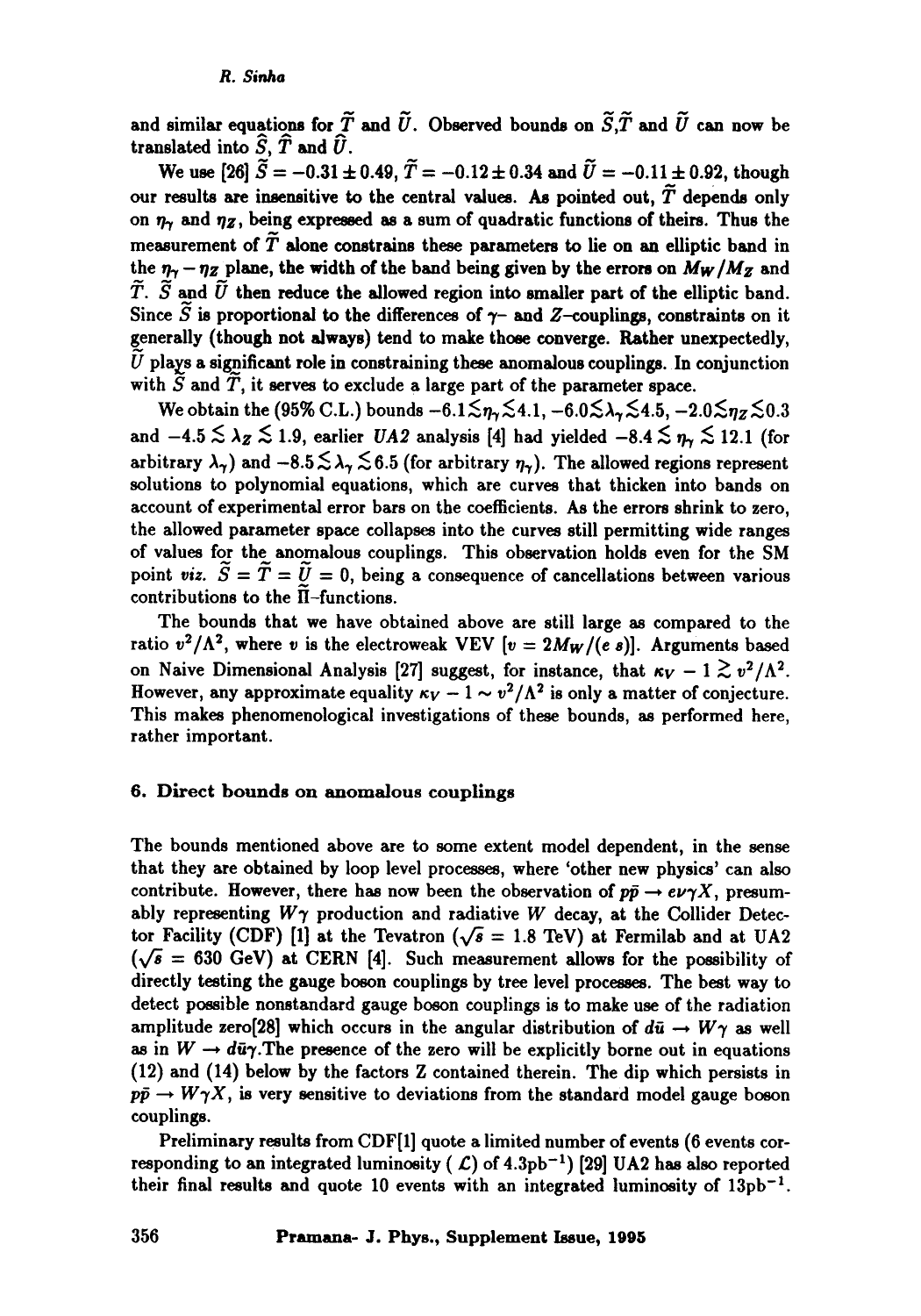and similar equations for  $\tilde{T}$  and  $\tilde{U}$ . Observed bounds on  $\tilde{S}, \tilde{T}$  and  $\tilde{U}$  can now be translated into  $\widehat{S}$ ,  $\widehat{T}$  and  $\widehat{U}$ .

We use [26]  $\tilde{S} = -0.31 \pm 0.49$ ,  $\tilde{T} = -0.12 \pm 0.34$  and  $\tilde{U} = -0.11 \pm 0.92$ , though our results are insensitive to the central values. As pointed out,  $\tilde{T}$  depends only on  $\eta_{\gamma}$  and  $\eta_{Z}$ , being expressed as a sum of quadratic functions of theirs. Thus the measurement of  $\widetilde{T}$  alone constrains these parameters to lie on an elliptic band in the  $\eta_{\gamma}$  -  $\eta_{Z}$  plane, the width of the band being given by the errors on  $M_{W}/M_{Z}$  and  $\widetilde{T}$ .  $\widetilde{S}$  and  $\widetilde{U}$  then reduce the allowed region into smaller part of the elliptic band. Since  $\widetilde{S}$  is proportional to the differences of  $\gamma$ - and Z-couplings, constraints on it generally (though not always) tend to make those converge. Rather unexpectedly,  $\tilde{U}$  plays a significant role in constraining these anomalous couplings. In conjunction with  $\tilde{S}$  and  $\tilde{T}$ , it serves to exclude a large part of the parameter space.

We obtain the (95% C.L.) bounds  $-6.1\textless n_r\textless 4.1, -6.0\textless \lambda_r\textless 4.5, -2.0\textless n_z\textless 0.3$ and  $-4.5 \lesssim \lambda_Z \lesssim 1.9$ , earlier *UA2* analysis [4] had yielded  $-8.4 \lesssim \eta_r \lesssim 12.1$  (for arbitrary  $\lambda_{\gamma}$ ) and  $-8.5 \lesssim \lambda_{\gamma} \lesssim 6.5$  (for arbitrary  $\eta_{\gamma}$ ). The allowed regions represent solutions to polynomial equations, which are curves that thicken into bands on account of experimental error bars on the coefficients. As the errors shrink to zero, the allowed parameter space collapses into the curves still permitting wide ranges of values for the anomalous couplings. This observation holds even for the SM point *viz.*  $\widetilde{S} = \widetilde{T} = \widetilde{U} = 0$ , being a consequence of cancellations between various contributions to the  $\Pi$ -functions.

The bounds that we have obtained above are still large as compared to the ratio  $v^2/\Lambda^2$ , where v is the electroweak VEV [ $v = 2M_W/(e s)$ ]. Arguments based on Naive Dimensional Analysis [27] suggest, for instance, that  $\kappa_V - 1 \gtrsim v^2/\Lambda^2$ . However, any approximate equality  $\kappa_V - 1 \sim v^2/\Lambda^2$  is only a matter of conjecture. This makes phenomenological investigations of these bounds, as performed here, rather important.

## 6. Direct bounds on anomalous couplings

The bounds mentioned above are to some extent model dependent, in the sense that they are obtained by loop level processes, where 'other new physics' can also contribute. However, there has now been the observation of  $p\bar{p} \rightarrow e\nu\gamma X$ , presumably representing  $W\gamma$  production and radiative W decay, at the Collider Detector Facility (CDF) [1] at the Tevatron ( $\sqrt{s}$  = 1.8 TeV) at Fermilab and at UA2  $(\sqrt{s} = 630 \text{ GeV})$  at CERN [4]. Such measurement allows for the possibility of directly testing the gauge boson couplings by tree level processes. The best way to detect possible nonstandard gauge boson couplings is to make use of the radiation amplitude zero[28] which occurs in the angular distribution of  $d\bar{u} \rightarrow W\gamma$  as well as in  $W \to d\bar{u}\gamma$ . The presence of the zero will be explicitly borne out in equations (12) and (14) below by the factors Z contained therein. The dip which persists in  $p\bar{p} \rightarrow W\gamma X$ , is very sensitive to deviations from the standard model gauge boson couplings.

Preliminary results from CDF[1] quote a limited number of events (6 events corresponding to an integrated luminosity ( $\mathcal{L}$ ) of 4.3pb<sup>-1</sup>) [29] UA2 has also reported their final results and quote 10 events with an integrated luminosity of  $13pb^{-1}$ .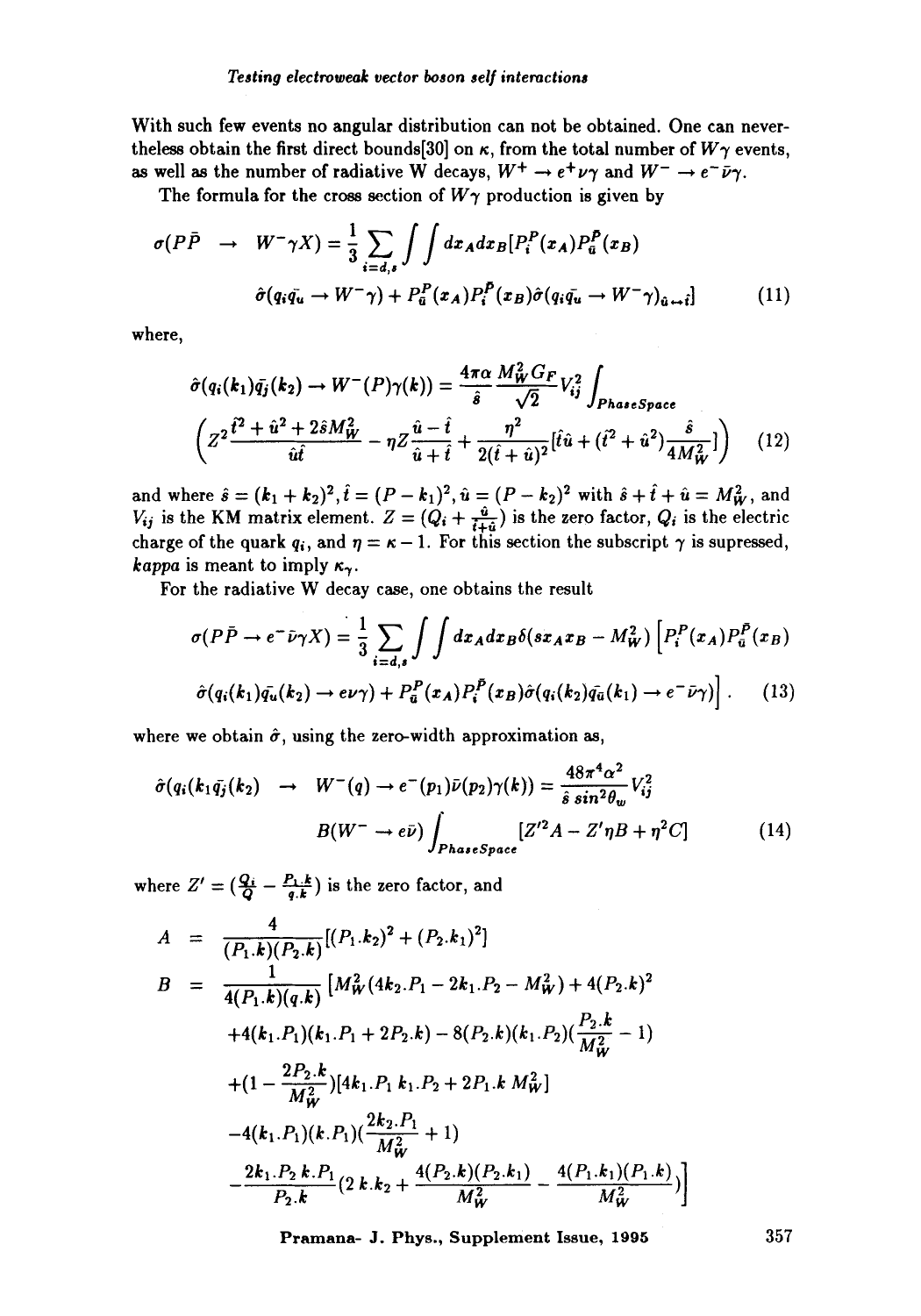With such few events no angular distribution can not be obtained. One can nevertheless obtain the first direct bounds[30] on  $\kappa$ , from the total number of  $W\gamma$  events, as well as the number of radiative W decays,  $W^+ \to e^+ \nu \gamma$  and  $W^- \to e^- \bar{\nu} \gamma$ .

The formula for the cross section of  $W\gamma$  production is given by

$$
\sigma(P\bar{P} \rightarrow W^{-}\gamma X) = \frac{1}{3} \sum_{i=d,s} \int \int dx_A dx_B [P_i^P(x_A) P_{\bar{u}}^P(x_B)
$$

$$
\hat{\sigma}(q_i \bar{q_u} \rightarrow W^{-}\gamma) + P_{\bar{u}}^P(x_A) P_i^P(x_B) \hat{\sigma}(q_i \bar{q_u} \rightarrow W^{-}\gamma)_{\bar{u} \rightarrow \bar{t}}]
$$
(11)

where,

$$
\hat{\sigma}(q_i(k_1)\bar{q_j}(k_2) \to W^-(P)\gamma(k)) = \frac{4\pi\alpha}{\hat{s}} \frac{M_W^2 G_F}{\sqrt{2}} V_{ij}^2 \int_{Phase Space}
$$
  

$$
\left(Z^2 \frac{\hat{t}^2 + \hat{u}^2 + 2\hat{s}M_W^2}{\hat{u}\hat{t}} - \eta Z \frac{\hat{u} - \hat{t}}{\hat{u} + \hat{t}} + \frac{\eta^2}{2(\hat{t} + \hat{u})^2} [\hat{t}\hat{u} + (\hat{t}^2 + \hat{u}^2) \frac{\hat{s}}{4M_W^2}] \right) \quad (12)
$$

and where  $\hat{s} = (\mathbf{k}_1 + \mathbf{k}_2)^2, t = (P - \mathbf{k}_1)^2, \hat{u} = (P - \mathbf{k}_2)^2$  with  $\hat{s} + t + \hat{u} = M_W^2$ , and  $V_{ij}$  is the KM matrix element.  $Z = (Q_i + \frac{q_i}{l+q_i})$  is the zero factor,  $Q_i$  is the electric charge of the quark  $q_i$ , and  $\eta = \kappa - 1$ . For this section the subscript  $\gamma$  is supressed, *kappa* is meant to imply  $\kappa_{\gamma}$ .

For the radiative W decay ease, one obtains the result

$$
\sigma(P\bar{P} \to e^- \bar{\nu}\gamma X) = \frac{1}{3} \sum_{i=d,s} \int \int dx_A dx_B \delta(sx_A x_B - M_W^2) \left[ P_i^P(x_A) P_{\bar{u}}^{\bar{P}}(x_B) \right]
$$

$$
\hat{\sigma}(q_i(k_1)\bar{q_u}(k_2) \to e\nu\gamma) + P_{\bar{u}}^P(x_A) P_i^{\bar{P}}(x_B) \hat{\sigma}(q_i(k_2)\bar{q_u}(k_1) \to e^- \bar{\nu}\gamma) \Big] \,. \tag{13}
$$

where we obtain  $\hat{\sigma}$ , using the zero-width approximation as,

$$
\hat{\sigma}(q_i(k_1\bar{q_j}(k_2) \rightarrow W^-(q) \rightarrow e^-(p_1)\bar{\nu}(p_2)\gamma(k)) = \frac{48\pi^4\alpha^2}{\hat{s}\sin^2\theta_w}V_{ij}^2
$$

$$
B(W^-\rightarrow e\bar{\nu})\int_{Phase Space} [Z'^2A - Z'\eta B + \eta^2C] \tag{14}
$$

where  $Z' = \left(\frac{Q_i}{Q} - \frac{P_1 \cdot k}{q \cdot k}\right)$  is the zero factor, and

$$
A = \frac{4}{(P_1.k)(P_2.k)}[(P_1.k_2)^2 + (P_2.k_1)^2]
$$
  
\n
$$
B = \frac{1}{4(P_1.k)(q.k)} [M_W^2(4k_2.P_1 - 2k_1.P_2 - M_W^2) + 4(P_2.k)^2
$$
  
\n
$$
+4(k_1.P_1)(k_1.P_1 + 2P_2.k) - 8(P_2.k)(k_1.P_2)(\frac{P_2.k}{M_W^2} - 1)
$$
  
\n
$$
+ (1 - \frac{2P_2.k}{M_W^2})[4k_1.P_1 k_1.P_2 + 2P_1.k M_W^2]
$$
  
\n
$$
-4(k_1.P_1)(k.P_1)(\frac{2k_2.P_1}{M_W^2} + 1)
$$
  
\n
$$
-\frac{2k_1.P_2.k.P_1}{P_2.k}(2k.k_2 + \frac{4(P_2.k)(P_2.k_1)}{M_W^2} - \frac{4(P_1.k_1)(P_1.k)}{M_W^2})
$$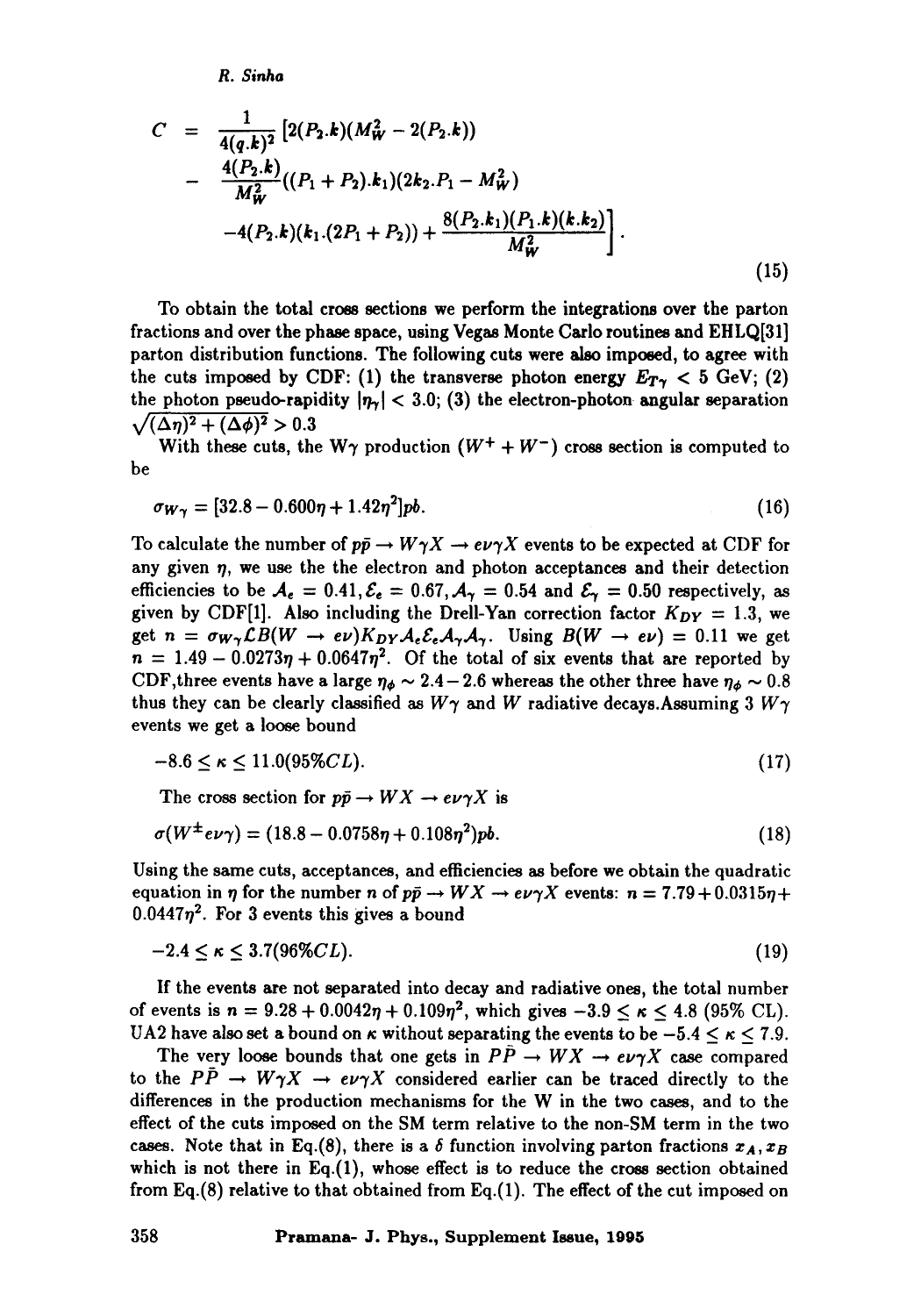*R. Sinha* 

$$
C = \frac{1}{4(q,k)^2} \left[ 2(P_2.k)(M_W^2 - 2(P_2.k)) - \frac{4(P_2.k)}{M_W^2}((P_1 + P_2.k_1)(2k_2.P_1 - M_W^2) - 4(P_2.k)(k_1.(2P_1 + P_2)) + \frac{8(P_2.k_1)(P_1.k)(k.k_2)}{M_W^2} \right].
$$
\n(15)

To obtain the total cross sections we perform the integrations over the parton fractions and over the phase space, using Vegas Monte Carlo routines and EHLQ[31] parton distribution functions. The following cuts were also imposed, to agree with the cuts imposed by CDF: (1) the transverse photon energy  $E_{T\gamma} < 5$  GeV; (2) the photon pseudo-rapidity  $|\eta_{\gamma}| < 3.0$ ; (3) the electron-photon angular separation  $\sqrt{(\Delta \eta)^2 + (\Delta \phi)^2} > 0.3$ 

With these cuts, the W $\gamma$  production  $(W^+ + W^-)$  cross section is computed to be

$$
\sigma_{W\gamma} = [32.8 - 0.600\eta + 1.42\eta^2]pb. \tag{16}
$$

To calculate the number of  $p\bar{p} \to W\gamma X \to e\nu\gamma X$  events to be expected at CDF for any given  $\eta$ , we use the the electron and photon acceptances and their detection efficiencies to be  $A_{\epsilon} = 0.41$ ,  $\mathcal{E}_{\epsilon} = 0.67$ ,  $A_{\gamma} = 0.54$  and  $\mathcal{E}_{\gamma} = 0.50$  respectively, as given by CDF[1]. Also including the Drell-Yan correction factor  $K_{DY} = 1.3$ , we get  $n = \sigma_{W\gamma} \mathcal{L} B(W \to e\nu) K_{DY} A_{\epsilon} \mathcal{E}_{\epsilon} A_{\gamma} A_{\gamma}$ . Using  $B(W \to e\nu) = 0.11$  we get  $n = 1.49 - 0.0273\eta + 0.0647\eta^2$ . Of the total of six events that are reported by CDF, three events have a large  $\eta_{\phi} \sim 2.4-2.6$  whereas the other three have  $\eta_{\phi} \sim 0.8$ thus they can be clearly classified as  $W\gamma$  and W radiative decays. Assuming 3  $W\gamma$ events we get a loose bound

$$
-8.6 \le \kappa \le 11.0(95\%CL). \tag{17}
$$

The cross section for  $p\bar{p} \to W X \to e\nu\gamma X$  is

$$
\sigma(W^{\pm}e\nu\gamma) = (18.8 - 0.0758\eta + 0.108\eta^2)pb.
$$
\n(18)

Using the same cuts, acceptances, and efficiencies as before we obtain the quadratic equation in  $\eta$  for the number n of  $p\bar{p} \rightarrow W X \rightarrow e\nu\gamma X$  events:  $n = 7.79 + 0.0315\eta +$  $0.0447\eta^2$ . For 3 events this gives a bound

$$
-2.4 \le \kappa \le 3.7(96\% CL). \tag{19}
$$

If the events are not separated into decay and radiative ones, the total number of events is  $n = 9.28 + 0.0042\eta + 0.109\eta^2$ , which gives  $-3.9 \le \kappa \le 4.8$  (95% CL). UA2 have also set a bound on  $\kappa$  without separating the events to be  $-5.4 \leq \kappa \leq 7.9$ .

The very loose bounds that one gets in  $PP \to WX \to e\nu\gamma X$  case compared to the  $P\bar{P} \rightarrow W\gamma X \rightarrow e\nu\gamma X$  considered earlier can be traced directly to the differences in the production mechanisms for the W in the two cases, and to the effect of the cuts imposed on the SM term relative to the non-SM term in the two cases. Note that in Eq.(8), there is a  $\delta$  function involving parton fractions  $x_A, x_B$ which is not there in Eq. $(1)$ , whose effect is to reduce the cross section obtained from Eq.(8) relative to that obtained from Eq.(1). The effect of the cut imposed on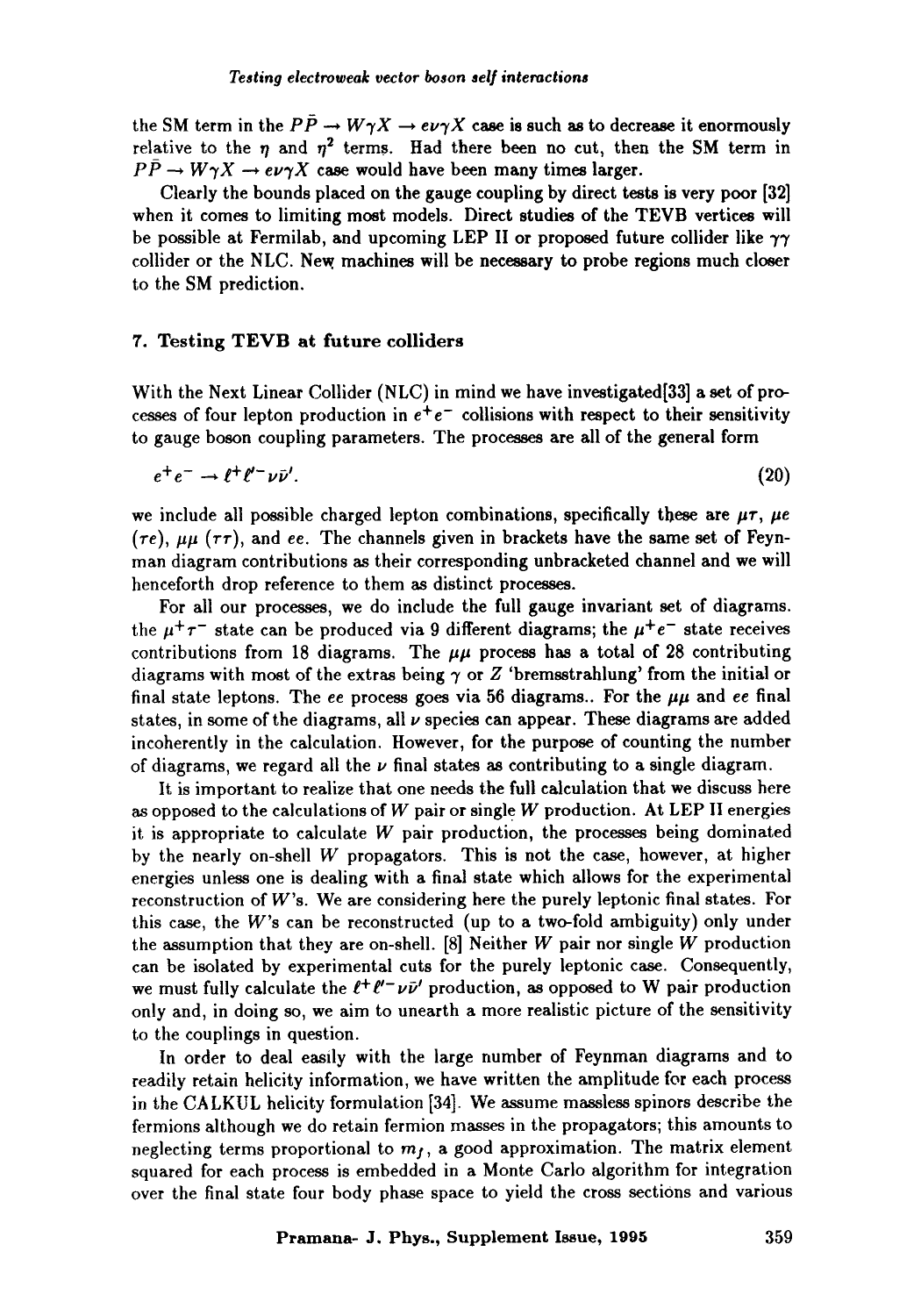the SM term in the  $P\bar{P} \rightarrow W\gamma X \rightarrow e\nu\gamma X$  case is such as to decrease it enormously relative to the  $n$  and  $n^2$  terms. Had there been no cut, then the SM term in  $P\bar{P} \rightarrow W\gamma X \rightarrow e\nu\gamma X$  case would have been many times larger.

Clearly the bounds placed on the gauge coupling by direct tests is very poor [32] when it comes to limiting most models. Direct studies of the TEVB vertices will be possible at Fermilab, and upcoming LEP II or proposed future collider like  $\gamma\gamma$ collider or the NLC. New. machines will be necessary to probe regions much closer to the SM prediction.

## **7. Testing TEVB at future eolliders**

With the Next Linear Collider (NLC) in mind we have investigated[33] a set of processes of four lepton production in  $e^+e^-$  collisions with respect to their sensitivity to gauge boson coupling parameters. The processes are all of the general form

$$
e^+e^- \to \ell^+ \ell'^- \nu \bar{\nu}'.\tag{20}
$$

we include all possible charged lepton combinations, specifically these are  $\mu\tau$ ,  $\mu e$  $(r_{e}), \mu\mu$  ( $\tau\tau$ ), and ee. The channels given in brackets have the same set of Feynman diagram contributions as their corresponding unbracketed channel and we will henceforth drop reference to them as distinct processes.

For all our processes, we do include the full gauge invariant set of diagrams. the  $\mu^+\tau^-$  state can be produced via 9 different diagrams; the  $\mu^+\epsilon^-$  state receives contributions from 18 diagrams. The  $\mu\mu$  process has a total of 28 contributing diagrams with most of the extras being  $\gamma$  or Z 'bremsstrahlung' from the initial or final state leptons. The ee process goes via 56 diagrams.. For the  $\mu\mu$  and ee final states, in some of the diagrams, all  $\nu$  species can appear. These diagrams are added incoherently in the calculation. However, for the purpose of counting the number of diagrams, we regard all the  $\nu$  final states as contributing to a single diagram.

It is important to realize that one needs the full calculation that we discuss here as opposed to the calculations of  $W$  pair or single  $W$  production. At LEP II energies it is appropriate to calculate  $W$  pair production, the processes being dominated by the nearly on-shell  $W$  propagators. This is not the case, however, at higher energies unless one is dealing with a final state which allows for the experimental reconstruction of W's. We are considering here the purely leptonic final states. For this case, the W's can be reconstructed (up to a two-fold ambiguity) only under the assumption that they are on-shell. [8] Neither W pair nor single W production can be isolated by experimental cuts for the purely leptonic case. Consequently, we must fully calculate the  $\ell^+ \ell^- \nu \bar{\nu}$  production, as opposed to W pair production only and, in doing so, we aim to unearth a more realistic picture of the sensitivity to the couplings in question.

In order to deal easily with the large number of Feynman diagrams and to readily retain helicity information, we have written the amplitude for each process in the CALKUL helicity formulation [34]. We assume massless spinors describe the fermions although we do retain fermion masses in the propagators; this amounts to neglecting terms proportional to  $m<sub>f</sub>$ , a good approximation. The matrix element squared for each process is embedded in a Monte Carlo algorithm for integration over the final state four body phase space to yield the cross sections and various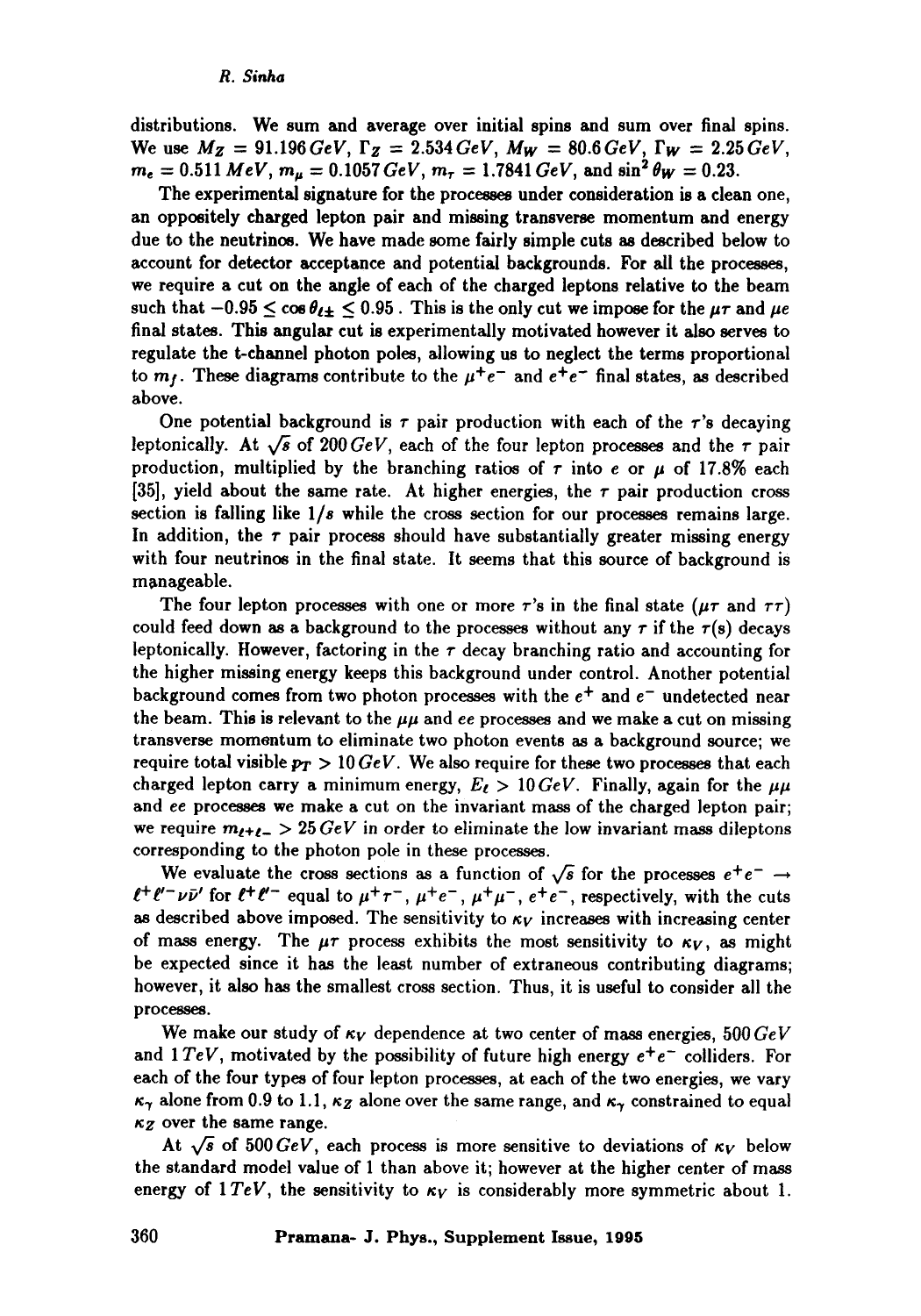distributions. We sum and average over initial spins and sum over final spins. We use  $M_Z = 91.196 \text{ GeV}$ ,  $\Gamma_Z = 2.534 \text{ GeV}$ ,  $M_W = 80.6 \text{ GeV}$ ,  $\Gamma_W = 2.25 \text{ GeV}$ ,  $m_e = 0.511 \text{ MeV}, m_\mu = 0.1057 \text{ GeV}, m_\tau = 1.7841 \text{ GeV}, \text{ and } \sin^2 \theta_W = 0.23.$ 

**The** experimental signature for the processes under consideration is a clean one, an oppositely charged lepton pair and missing transverse momentum and energy due to the neutrinos. We have made some fairly simple cuts as described below to account for detector acceptance and potential backgrounds. For all the processes, we require a cut on the angle of each of the charged leptons relative to the beam such that  $-0.95 \le \cos \theta_{\ell \pm} \le 0.95$ . This is the only cut we impose for the  $\mu \tau$  and  $\mu e$ final states. This angular cut is experimentally motivated however it also serves to regulate the t-channel photon poles, allowing us to neglect **the terms** proportional to  $m_f$ . These diagrams contribute to the  $\mu^+e^-$  and  $e^+e^-$  final states, as described above.

One potential background is  $\tau$  pair production with each of the  $\tau$ 's decaying leptonically. At  $\sqrt{s}$  of 200 GeV, each of the four lepton processes and the  $\tau$  pair production, multiplied by the branching ratios of  $\tau$  into e or  $\mu$  of 17.8% each [35], vield about the same rate. At higher energies, the  $\tau$  pair production cross section is falling like *1/s* while the cross section for our processes remains large. In addition, the  $\tau$  pair process should have substantially greater missing energy with four neutrinos in the final state. It seems that this source of background is manageable.

The four lepton processes with one or more  $\tau$ 's in the final state ( $\mu\tau$  and  $\tau\tau$ ) could feed down as a background to the processes without any  $\tau$  if the  $\tau(s)$  decays leptonically. However, factoring in the  $\tau$  decay branching ratio and accounting for the higher missing energy keeps this background under control. Another potential background comes from two photon processes with the  $e^+$  and  $e^-$  undetected near the beam. This is relevant to the  $\mu\mu$  and *ee* processes and we make a cut on missing transverse momentum to eliminate two photon events as a background source; we require total visible  $p_T > 10 \, GeV$ . We also require for these two processes that each charged lepton carry a minimum energy,  $E_{\ell} > 10 \, GeV$ . Finally, again for the  $\mu\mu$ and ee processes we make a cut on the invariant mass of the charged lepton pair; we require  $m_{t+t-} > 25 \text{ GeV}$  in order to eliminate the low invariant mass dileptons corresponding to the photon pole in these processes.

We evaluate the cross sections as a function of  $\sqrt{s}$  for the processes  $e^+e^- \rightarrow$  $\ell^+ \ell^- \nu \bar{\nu}$  for  $\ell^+ \ell^-$  equal to  $\mu^+ \tau^-$ ,  $\mu^+ e^-$ ,  $\mu^+ \mu^-$ ,  $e^+ e^-$ , respectively, with the cuts as described above imposed. The sensitivity to  $\kappa_V$  increases with increasing center of mass energy. The  $\mu\tau$  process exhibits the most sensitivity to  $\kappa_V$ , as might be expected since it has the least number of extraneous contributing diagrams; however, it also has the smallest cross section. Thus, it is useful to consider all the processes.

We make our study of  $\kappa_V$  dependence at two center of mass energies,  $500 GeV$ and 1  $TeV$ , motivated by the possibility of future high energy  $e^+e^-$  colliders. For each of the four types of four lepton processes, at each of the two energies, we vary  $\kappa_{\gamma}$  alone from 0.9 to 1.1,  $\kappa_{Z}$  alone over the same range, and  $\kappa_{\gamma}$  constrained to equal  $\kappa_Z$  over the same range.

At  $\sqrt{s}$  of 500 *GeV*, each process is more sensitive to deviations of  $\kappa_V$  below the standard model value of 1 than above it; however at the higher center of mass energy of  $1 TeV$ , the sensitivity to  $\kappa_V$  is considerably more symmetric about 1.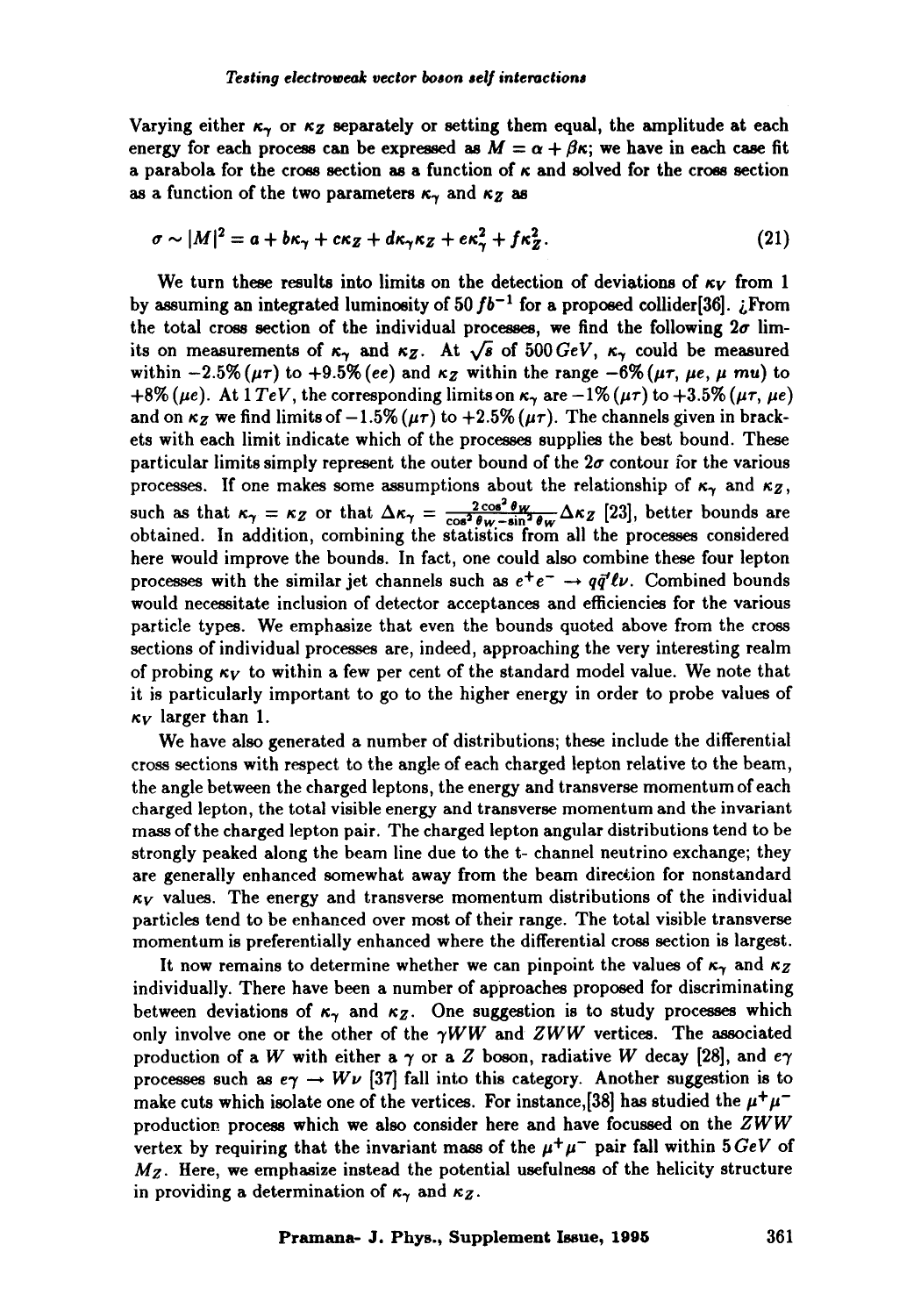Varying either  $\kappa_{\gamma}$  or  $\kappa_{Z}$  separately or setting them equal, the amplitude at each energy for each process can be expressed as  $M = \alpha + \beta \kappa$ ; we have in each case fit a parabola for the cross section as a function of  $\kappa$  and solved for the cross section as a function of the two parameters  $\kappa_{\gamma}$  and  $\kappa_{Z}$  as

$$
\sigma \sim |M|^2 = a + b\kappa_\gamma + c\kappa_Z + d\kappa_\gamma \kappa_Z + e\kappa_\gamma^2 + f\kappa_Z^2. \tag{21}
$$

We turn these results into limits on the detection of deviations of  $\kappa_V$  from 1 by assuming an integrated luminosity of 50  $fb^{-1}$  for a proposed collider[36]. *i*. From the total cross section of the individual processes, we find the following  $2\sigma$  limits on measurements of  $\kappa_{\gamma}$  and  $\kappa_{Z}$ . At  $\sqrt{s}$  of 500  $GeV$ ,  $\kappa_{\gamma}$  could be measured within  $-2.5\%$  ( $\mu\tau$ ) to  $+9.5\%$  (ee) and  $\kappa$ <sub>Z</sub> within the range  $-6\%$  ( $\mu\tau$ ,  $\mu e$ ,  $\mu$  mu) to  $+8\%$  ( $\mu$ e). At 1 *TeV*, the corresponding limits on  $\kappa_{\gamma}$  are  $-1\%$  ( $\mu\tau$ ) to  $+3.5\%$  ( $\mu\tau$ ,  $\mu$ e) and on  $\kappa_Z$  we find limits of  $-1.5\%$  ( $\mu\tau$ ) to  $+2.5\%$  ( $\mu\tau$ ). The channels given in brackets with each limit indicate which of the processes supplies the best bound. These particular limits simply represent the outer bound of the  $2\sigma$  contour for the various processes. If one makes some assumptions about the relationship of  $\kappa_{\gamma}$  and  $\kappa_{Z}$ , such as that  $\kappa_{\gamma} = \kappa_{Z}$  or that  $\Delta \kappa_{\gamma} = \frac{2 \text{ GeV}}{\text{cos}^2 \theta_{\text{max}} \sin^2 \theta_{\text{max}}} \Delta \kappa_{Z}$  [23], better bounds are obtained. In addition, combining the statistics from all the processes considered here would improve the bounds. In fact, one could also combine these four lepton processes with the similar jet channels such as  $e^+e^- \rightarrow q\bar{q}'\ell\nu$ . Combined bounds would necessitate inclusion of detector acceptances and efliciencies for the various particle types. We emphasize that even the bounds quoted above from the cross sections of individual processes are, indeed, approaching the very interesting realm of probing  $\kappa_V$  to within a few per cent of the standard model value. We note that it is particularly important to go to the higher energy in order to probe values of  $\kappa_V$  larger than 1.

We have also generated a number of distributions; these include the differential cross sections with respect to the angle of each charged lepton relative to the beam, the angle between the charged leptons, the energy and transverse momentum of each charged lepton, the total visible energy and transverse momentum and the invariant mass of the charged lepton pair. The charged lepton angular distributions tend to be strongly peaked along the beam line due to the t- channel neutrino exchange; they are generally enhanced somewhat away from the beam direction for nonstandard  $\kappa_V$  values. The energy and transverse momentum distributions of the individual particles tend to be enhanced over most of their range. The total visible transverse momentum is preferentially enhanced where the differential cross section is largest.

It now remains to determine whether we can pinpoint the values of  $\kappa_{\gamma}$  and  $\kappa_{Z}$ individually. There have been a number of approaches proposed for discriminating between deviations of  $\kappa_{\gamma}$  and  $\kappa_{Z}$ . One suggestion is to study processes which only involve one or the other of the  $\gamma WW$  and  $ZWW$  vertices. The associated production of a W with either a  $\gamma$  or a Z boson, radiative W decay [28], and  $e\gamma$ processes such as  $e\gamma \rightarrow W\nu$  [37] fall into this category. Another suggestion is to make cuts which isolate one of the vertices. For instance, [38] has studied the  $\mu^+\mu^$ production process which we also consider here and have focussed on the *ZWW*  vertex by requiring that the invariant mass of the  $\mu^+\mu^-$  pair fall within  $5\,GeV$  of *Mz.* Here, we emphasize instead the potential usefulness of the helicity structure in providing a determination of  $\kappa_{\gamma}$  and  $\kappa_{Z}$ .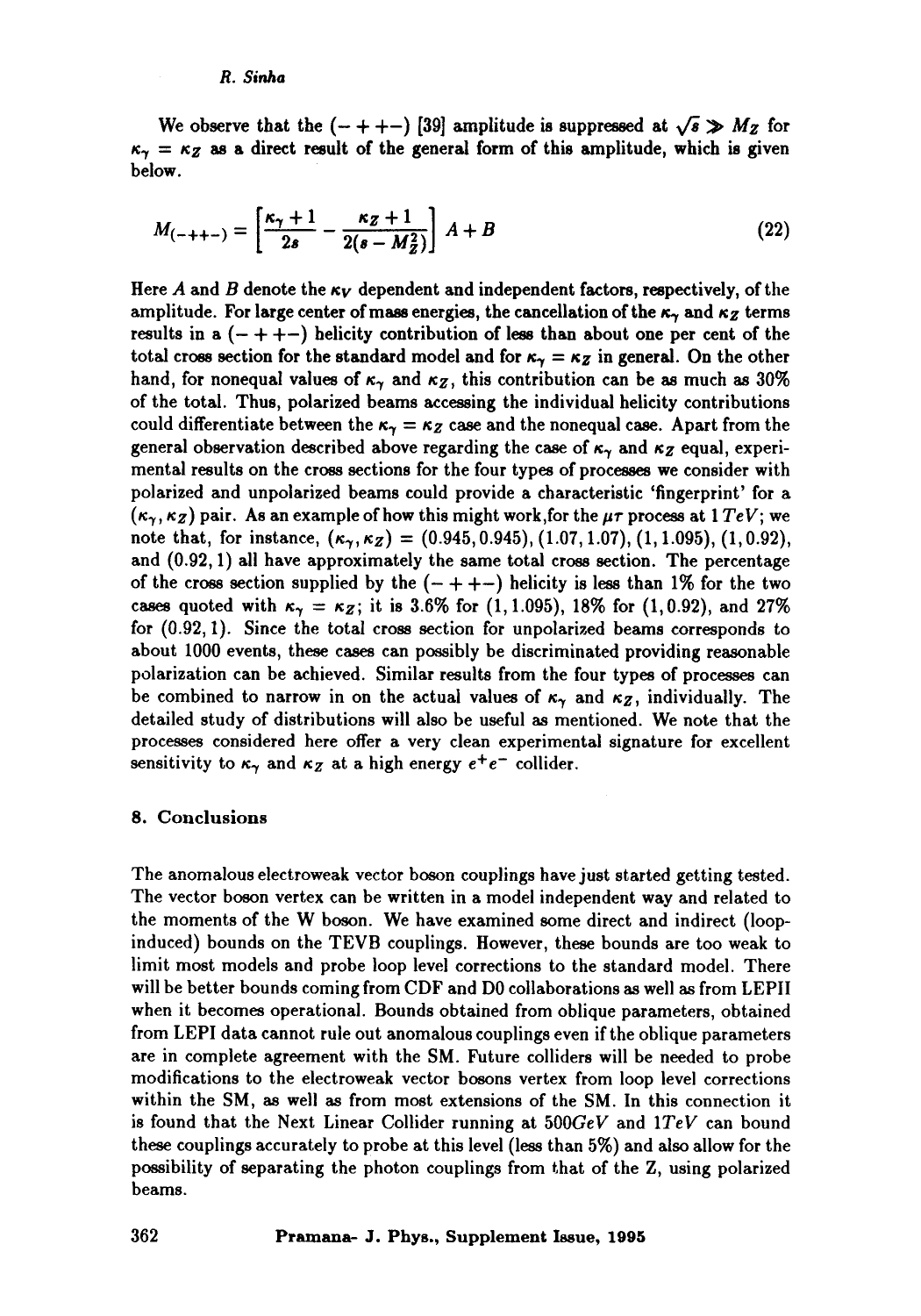#### *R. Sinha*

We observe that the  $(- + + -)$  [39] amplitude is suppressed at  $\sqrt{s} \gg M_Z$  for  $\kappa_{\gamma} = \kappa_{Z}$  as a direct result of the general form of this amplitude, which is given below.

$$
M_{(-++-)} = \left[\frac{\kappa_{\gamma} + 1}{2s} - \frac{\kappa_Z + 1}{2(s - M_Z^2)}\right] A + B \tag{22}
$$

Here A and B denote the  $\kappa_V$  dependent and independent factors, respectively, of the amplitude. For large center of mass energies, the cancellation of the  $\kappa_{\gamma}$  and  $\kappa_{Z}$  terms results in a  $(- + + -)$  helicity contribution of less than about one per cent of the total cross section for the standard model and for  $\kappa_{\gamma} = \kappa_{Z}$  in general. On the other hand, for nonequal values of  $\kappa_{\gamma}$  and  $\kappa_{Z}$ , this contribution can be as much as 30% of the total. Thus, polarized beams accessing the individual helicity contributions could differentiate between the  $\kappa_{\gamma} = \kappa_{Z}$  case and the nonequal case. Apart from the general observation described above regarding the case of  $\kappa_{\gamma}$  and  $\kappa_{Z}$  equal, experimental results on the cross sections for the four types of processes we consider with polarized and unpolarized beams could provide a characteristic 'fingerprint' for a  $(\kappa_{\gamma}, \kappa_{Z})$  pair. As an example of how this might work, for the  $\mu\tau$  process at 1  $TeV$ ; we note that, for instance,  $(\kappa_{\gamma}, \kappa_{Z}) = (0.945, 0.945), (1.07, 1.07), (1, 1.095), (1, 0.92),$ and (0.92, 1) all have approximately the same total cross section. The percentage of the cross section supplied by the  $(- + + -)$  helicity is less than 1% for the two cases quoted with  $\kappa_{\gamma} = \kappa_{Z}$ ; it is 3.6% for (1, 1.095), 18% for (1, 0.92), and 27% for (0.92, 1). Since the total cross section for unpolarized beams corresponds to about 1000 events, these cases can possibly be discriminated providing reasonable polarization can be achieved. Similar results from the four types of processes can be combined to narrow in on the actual values of  $\kappa_{\gamma}$  and  $\kappa_{Z}$ , individually. The detailed study of distributions will also be useful as mentioned. We note that the processes considered here offer a very clean experimental signature for excellent sensitivity to  $\kappa_{\gamma}$  and  $\kappa_{Z}$  at a high energy  $e^{+}e^{-}$  collider.

#### 8. Conclusions

The anomalous electroweak vector boson couplings have just started getting tested. The vector boson vertex can be written in a model independent way and related to the moments of the W boson. We have examined some direct and indirect (loopinduced) bounds on the TEVB couplings. However, these bounds are too weak to limit most models and probe loop level corrections to the standard model. There will be better bounds coming from CDF and DO collaborations as well as from LEPII when it becomes operational. Bounds obtained from oblique parameters, obtained from LEPI data cannot rule out anomalous couplings even if the oblique parameters are in complete agreement with the SM. Future colliders will be needed to probe modifications to the electroweak vector bosons vertex from loop level corrections within the SM, as well as from most extensions of the SM. In this connection it is found that the Next Linear Collider running at *500GeV* and *1TeV* can bound these couplings accurately to probe at this level (less than 5%) and also allow for the possibility of separating the photon couplings from that of the Z, using polarized beams.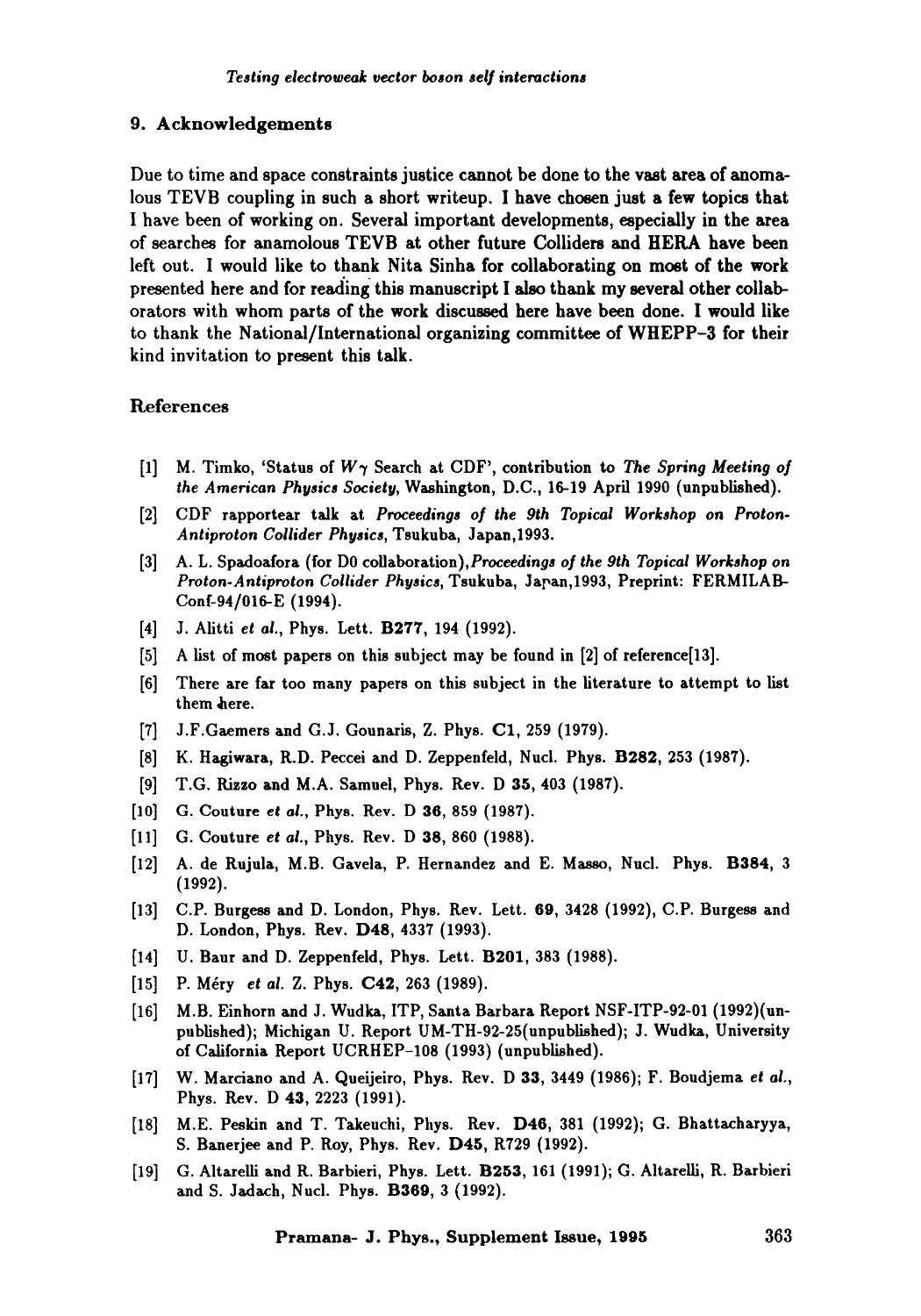#### 9. Acknowledgements

Due to time and space constraints justice cannot be done to the vast area of anomalous TEVB coupling in such a short writeup. I have chosen just a few topics that I have been of working on. Several important developments, especially in the area of searches for anamolous TEVB at other future Colliders and HERA have been left out. I would like to thank Nita Sinha for collaborating on most of the work presented here and for reading this manuscript I also thank my several other collaborators with whom parts of the work discussed here have been done. I would like to thank the National/International organizing committee of WHEPP-3 for their kind invitation to present this talk.

## References

- [1] M. Timko, 'Status of W7 Search at CDF', contribution to *The Spring Meeting of the American Physics Society,* Washington, D.C., 16-19 April 1990 (unpublished).
- [2] CDF rapportear talk at *Proceedings of the 9th Topical Workshop on Proton. Antiproton Collider Physics,* Tsukuba, Japan,1993.
- [3] A.L. Spadoafora (for DO *coilaboration),Proceedings of the 9th Topical Workshop on Proton-Antiproton Collider Physics,* Tsukuba, Japan,1993, Preprint: FERMILAB-Conf-94/016-E (1994).
- [4] J. Alitti *et ai.,* Phys. Lett. B277, 194 (1992).
- [5] A list of most papers on this subject may be found in [2] of reference[13].
- [6] There are far too many papers on this subject in the literature to attempt to list them here.
- [7] J.F.Gaemers and G.J. Gounaris, Z. Phys. C1,259 (1979).
- [8] K. Hagiwara, R.D. Peccei and D. Zeppenfeld, Nucl. Phys. B282, 253 (1987).
- [9] T.G. Rizzo and M.A. Samuel, Phys. Rev. D 35, 403 (1987).
- [10] G. Couture *et al.*, Phys. Rev. D 36, 859 (1987).
- [11] G. Couture *et ai.,* Phys. Rev. D 38, 860 (1988).
- [12] A. de Rujula, M.B. Gavela, P. Hernandez and E. Masso, Nucl. Phys. B384, 3 (1992).
- [13] C.P. Burgess and D. London, Phys. Rev. Lett. 69, 3428 (1992), C.P. Burgess and D. London, Phys. Rev. D48, 4337 (1993).
- [14] U. Banr and D. Zeppenfeid, Phys. Lett. B201, 383 (1988).
- [15] P. Méry *et al. Z. Phys.* **C42**, 263 (1989).
- [16] M.B. Einhorn and J. Wudka, ITP, Santa Barbara Report NSF-ITP-92-01 (1992)(unpublished); Michigan U. Report UM-TH-92-25(unpublished); J. Wudka, University of California Report UCRHEP-108 (1993) (unpublished).
- [17] W. Marciano and A. Queijeiro, Phys. Rev. D 33, 3449 (1986); F. Boudjema *et al.,*  Phys. Rev. D 43, 2223 (1991).
- [18] M.E. Peskin and T. Takeuchi, Phys. Rev. D46, 381 (1992); G. Bhattacharyya, S. Banerjee and P. Roy, Phys. Rev. D45, R729 (1992).
- [19] G. Altarelli and R. Barbieri, Phys. Lett. B253, 161 (1991); G. Altarelli, R. Barbieri and S. Jadach, Nucl. Phys. B369, 3 (1992).